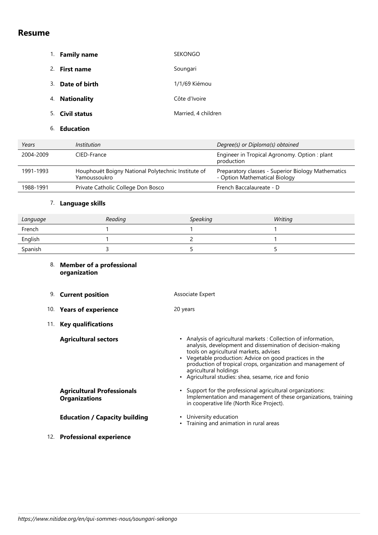# **Resume**

| 1. | <b>Family name</b>  | <b>SEKONGO</b>      |
|----|---------------------|---------------------|
| 2. | <b>First name</b>   | Soungari            |
| 3. | Date of birth       | 1/1/69 Kiémou       |
| 4. | <b>Nationality</b>  | Côte d'Ivoire       |
| 5. | <b>Civil status</b> | Married, 4 children |
| 6. | <b>Education</b>    |                     |

| Years     | <i>Institution</i>                                                 | Degree(s) or Diploma(s) obtained                                                    |
|-----------|--------------------------------------------------------------------|-------------------------------------------------------------------------------------|
| 2004-2009 | CIED-France                                                        | Engineer in Tropical Agronomy. Option: plant<br>production                          |
| 1991-1993 | Houphouët Boigny National Polytechnic Institute of<br>Yamoussoukro | Preparatory classes - Superior Biology Mathematics<br>- Option Mathematical Biology |
| 1988-1991 | Private Catholic College Don Bosco                                 | French Baccalaureate - D                                                            |

### 7. **Language skills**

| Language | Reading | <b>Speaking</b> | Writing |
|----------|---------|-----------------|---------|
| French   |         |                 |         |
| English  |         |                 |         |
| Spanish  |         |                 |         |

| 8. Member of a professional |
|-----------------------------|
| organization                |

| 9.  | <b>Current position</b>                                   | Associate Expert                                                                                                                                                                                                                                                                                                                                                                              |
|-----|-----------------------------------------------------------|-----------------------------------------------------------------------------------------------------------------------------------------------------------------------------------------------------------------------------------------------------------------------------------------------------------------------------------------------------------------------------------------------|
| 10. | <b>Years of experience</b>                                | 20 years                                                                                                                                                                                                                                                                                                                                                                                      |
| 11. | <b>Key qualifications</b>                                 |                                                                                                                                                                                                                                                                                                                                                                                               |
|     | <b>Agricultural sectors</b>                               | Analysis of agricultural markets: Collection of information,<br>$\bullet$<br>analysis, development and dissemination of decision-making<br>tools on agricultural markets, advises<br>• Vegetable production: Advice on good practices in the<br>production of tropical crops, organization and management of<br>agricultural holdings<br>• Agricultural studies: shea, sesame, rice and fonio |
|     | <b>Agricultural Professionals</b><br><b>Organizations</b> | • Support for the professional agricultural organizations:<br>Implementation and management of these organizations, training<br>in cooperative life (North Rice Project).                                                                                                                                                                                                                     |
|     | <b>Education / Capacity building</b>                      | • University education<br>• Training and animation in rural areas                                                                                                                                                                                                                                                                                                                             |
| 12. | <b>Professional experience</b>                            |                                                                                                                                                                                                                                                                                                                                                                                               |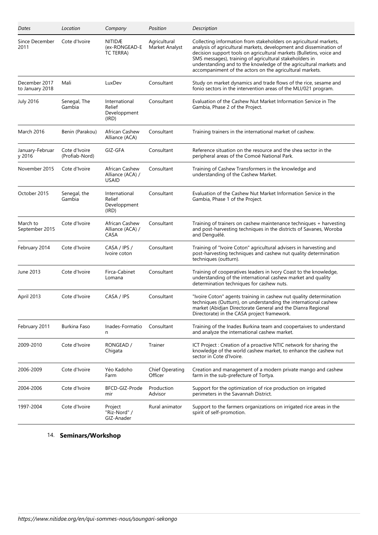| Dates                            | Location                        | Company                                          | Position                          | Description                                                                                                                                                                                                                                                                                                                                                                                                  |
|----------------------------------|---------------------------------|--------------------------------------------------|-----------------------------------|--------------------------------------------------------------------------------------------------------------------------------------------------------------------------------------------------------------------------------------------------------------------------------------------------------------------------------------------------------------------------------------------------------------|
| Since December<br>2011           | Cote d'Ivoire                   | NITIDÆ<br>(ex-RONGEAD-E<br>TC TERRA)             | Agricultural<br>Market Analyst    | Collecting information from stakeholders on agricultural markets,<br>analysis of agricultural markets, development and dissemination of<br>decision support tools on agricultural markets (Bulletins, voice and<br>SMS messages), training of agricultural stakeholders in<br>understanding and to the knowledge of the agricultural markets and<br>accompaniment of the actors on the agricultural markets. |
| December 2017<br>to January 2018 | Mali                            | LuxDev                                           | Consultant                        | Study on market dynamics and trade flows of the rice, sesame and<br>fonio sectors in the intervention areas of the MLI/021 program.                                                                                                                                                                                                                                                                          |
| <b>July 2016</b>                 | Senegal, The<br>Gambia          | International<br>Relief<br>Developpment<br>(IRD) | Consultant                        | Evaluation of the Cashew Nut Market Information Service in The<br>Gambia, Phase 2 of the Project.                                                                                                                                                                                                                                                                                                            |
| March 2016                       | Benin (Parakou)                 | African Cashew<br>Alliance (ACA)                 | Consultant                        | Training trainers in the international market of cashew.                                                                                                                                                                                                                                                                                                                                                     |
| January-Februar<br>y 2016        | Cote d'Ivoire<br>(Profiab-Nord) | GIZ-GFA                                          | Consultant                        | Reference situation on the resource and the shea sector in the<br>peripheral areas of the Comoé National Park.                                                                                                                                                                                                                                                                                               |
| November 2015                    | Cote d'Ivoire                   | African Cashew<br>Alliance (ACA) /<br>USAID      | Consultant                        | Training of Cashew Transformers in the knowledge and<br>understanding of the Cashew Market.                                                                                                                                                                                                                                                                                                                  |
| October 2015                     | Senegal, the<br>Gambia          | International<br>Relief<br>Developpment<br>(IRD) | Consultant                        | Evaluation of the Cashew Nut Market Information Service in the<br>Gambia, Phase 1 of the Project.                                                                                                                                                                                                                                                                                                            |
| March to<br>September 2015       | Cote d'Ivoire                   | African Cashew<br>Alliance (ACA) /<br>CASA       | Consultant                        | Training of trainers on cashew maintenance techniques + harvesting<br>and post-harvesting techniques in the districts of Savanes, Woroba<br>and Denguélé.                                                                                                                                                                                                                                                    |
| February 2014                    | Cote d'Ivoire                   | CASA / IPS /<br>Ivoire coton                     | Consultant                        | Training of "Ivoire Coton" agricultural advisers in harvesting and<br>post-harvesting techniques and cashew nut quality determination<br>techniques (outturn).                                                                                                                                                                                                                                               |
| June 2013                        | Cote d'Ivoire                   | Firca-Cabinet<br>Lomana                          | Consultant                        | Training of cooperatives leaders in Ivory Coast to the knowledge,<br>understanding of the international cashew market and quality<br>determination techniques for cashew nuts.                                                                                                                                                                                                                               |
| April 2013                       | Cote d'Ivoire                   | CASA / IPS                                       | Consultant                        | "Ivoire Coton" agents training in cashew nut quality determination<br>techniques (Outturn), on understanding the international cashew<br>market (Abidian Directorate General and the Dianra Regional<br>Directorate) in the CASA project framework.                                                                                                                                                          |
| February 2011                    | Burkina Faso                    | Inades-Formatio<br>n                             | Consultant                        | Training of the Inades Burkina team and coopertaives to understand<br>and analyze the international cashew market.                                                                                                                                                                                                                                                                                           |
| 2009-2010                        | Cote d'Ivoire                   | RONGEAD /<br>Chigata                             | Trainer                           | ICT Project: Creation of a proactive NTIC network for sharing the<br>knowledge of the world cashew market, to enhance the cashew nut<br>sector in Cote d'Ivoire.                                                                                                                                                                                                                                             |
| 2006-2009                        | Cote d'Ivoire                   | Yéo Kadoho<br>Farm                               | <b>Chief Operating</b><br>Officer | Creation and management of a modern private mango and cashew<br>farm in the sub-prefecture of Tortya.                                                                                                                                                                                                                                                                                                        |
| 2004-2006                        | Cote d'Ivoire                   | BFCD-GIZ-Prode<br>mir                            | Production<br>Advisor             | Support for the optimization of rice production on irrigated<br>perimeters in the Savannah District.                                                                                                                                                                                                                                                                                                         |
| 1997-2004                        | Cote d'Ivoire                   | Project<br>"Riz-Nord" /<br>GIZ-Anader            | Rural animator                    | Support to the farmers organizations on irrigated rice areas in the<br>spirit of self-promotion.                                                                                                                                                                                                                                                                                                             |

## 14. **Seminars/Workshop**